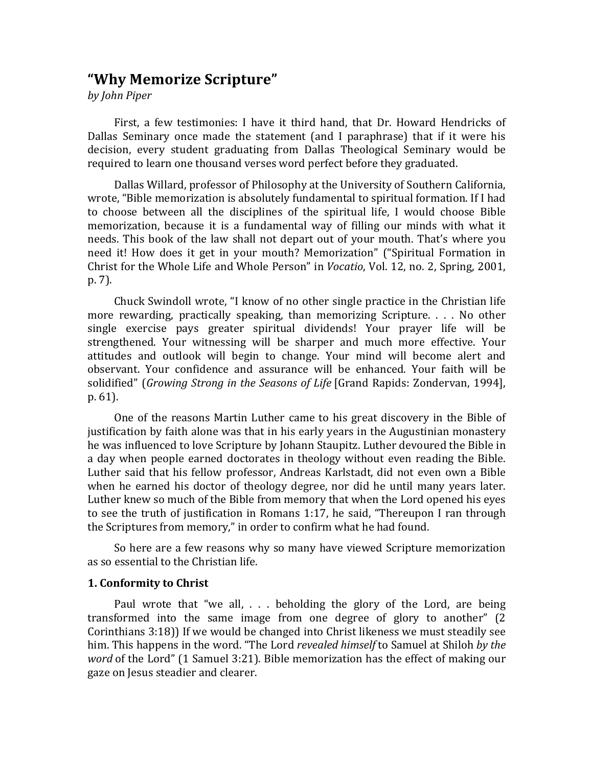# **"Why Memorize Scripture"**

*by John Piper*

First, a few testimonies: I have it third hand, that Dr. Howard Hendricks of Dallas Seminary once made the statement (and I paraphrase) that if it were his decision, every student graduating from Dallas Theological Seminary would be required to learn one thousand verses word perfect before they graduated.

Dallas Willard, professor of Philosophy at the University of Southern California, wrote, "Bible memorization is absolutely fundamental to spiritual formation. If I had to choose between all the disciplines of the spiritual life, I would choose Bible memorization, because it is a fundamental way of filling our minds with what it needs. This book of the law shall not depart out of your mouth. That's where you need it! How does it get in your mouth? Memorization" ("Spiritual Formation in Christ for the Whole Life and Whole Person" in *Vocatio*, Vol. 12, no. 2, Spring, 2001, p. 7).

Chuck Swindoll wrote, "I know of no other single practice in the Christian life more rewarding, practically speaking, than memorizing Scripture.  $\ldots$  No other single exercise pays greater spiritual dividends! Your prayer life will be strengthened. Your witnessing will be sharper and much more effective. Your attitudes and outlook will begin to change. Your mind will become alert and observant. Your confidence and assurance will be enhanced. Your faith will be solidified" (*Growing Strong in the Seasons of Life* [Grand Rapids: Zondervan, 1994], p. 61).

One of the reasons Martin Luther came to his great discovery in the Bible of justification by faith alone was that in his early years in the Augustinian monastery he was influenced to love Scripture by Johann Staupitz. Luther devoured the Bible in a day when people earned doctorates in theology without even reading the Bible. Luther said that his fellow professor, Andreas Karlstadt, did not even own a Bible when he earned his doctor of theology degree, nor did he until many years later. Luther knew so much of the Bible from memory that when the Lord opened his eyes to see the truth of justification in Romans 1:17, he said, "Thereupon I ran through the Scriptures from memory," in order to confirm what he had found.

So here are a few reasons why so many have viewed Scripture memorization as so essential to the Christian life.

# **1. Conformity to Christ**

Paul wrote that "we all,  $\ldots$  beholding the glory of the Lord, are being transformed into the same image from one degree of glory to another"  $(2)$ Corinthians  $3:18$ ) If we would be changed into Christ likeness we must steadily see him. This happens in the word. "The Lord *revealed himself* to Samuel at Shiloh *by the word* of the Lord" (1 Samuel 3:21). Bible memorization has the effect of making our gaze on Jesus steadier and clearer.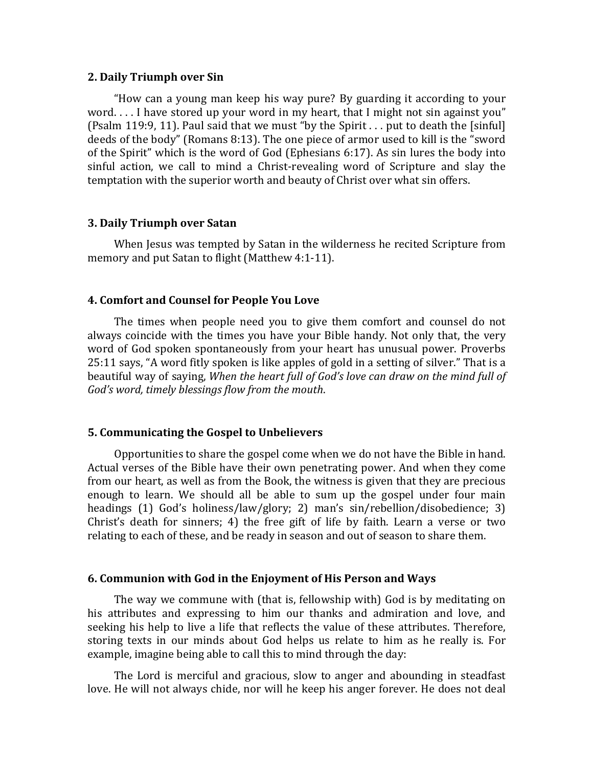#### **2. Daily Triumph over Sin**

"How can a young man keep his way pure? By guarding it according to your word.  $\dots$  I have stored up your word in my heart, that I might not sin against you" (Psalm 119:9, 11). Paul said that we must "by the Spirit  $\ldots$  put to death the [sinful] deeds of the body" (Romans  $8:13$ ). The one piece of armor used to kill is the "sword of the Spirit" which is the word of God (Ephesians  $6:17$ ). As sin lures the body into sinful action, we call to mind a Christ-revealing word of Scripture and slay the temptation with the superior worth and beauty of Christ over what sin offers.

## **3. Daily Triumph over Satan**

When Jesus was tempted by Satan in the wilderness he recited Scripture from memory and put Satan to flight (Matthew 4:1-11).

### **4. Comfort and Counsel for People You Love**

The times when people need you to give them comfort and counsel do not always coincide with the times you have your Bible handy. Not only that, the very word of God spoken spontaneously from your heart has unusual power. Proverbs 25:11 says, "A word fitly spoken is like apples of gold in a setting of silver." That is a beautiful way of saying, *When the heart full of God's love can draw on the mind full of* God's word, timely blessings flow from the mouth.

## **5. Communicating the Gospel to Unbelievers**

Opportunities to share the gospel come when we do not have the Bible in hand. Actual verses of the Bible have their own penetrating power. And when they come from our heart, as well as from the Book, the witness is given that they are precious enough to learn. We should all be able to sum up the gospel under four main headings  $(1)$  God's holiness/law/glory; 2) man's  $sin$ /rebellion/disobedience; 3) Christ's death for sinners; 4) the free gift of life by faith. Learn a verse or two relating to each of these, and be ready in season and out of season to share them.

#### **6. Communion with God in the Enjoyment of His Person and Ways**

The way we commune with (that is, fellowship with) God is by meditating on his attributes and expressing to him our thanks and admiration and love, and seeking his help to live a life that reflects the value of these attributes. Therefore, storing texts in our minds about God helps us relate to him as he really is. For example, imagine being able to call this to mind through the day:

The Lord is merciful and gracious, slow to anger and abounding in steadfast love. He will not always chide, nor will he keep his anger forever. He does not deal